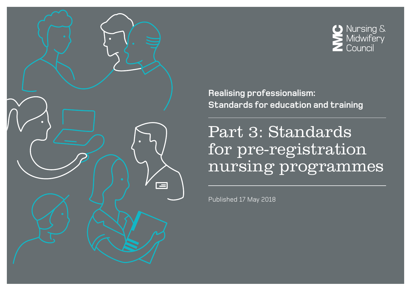



**Realising professionalism: Standards for education and training**

Part 3: Standards for pre-registration nursing programmes

Published 17 May 2018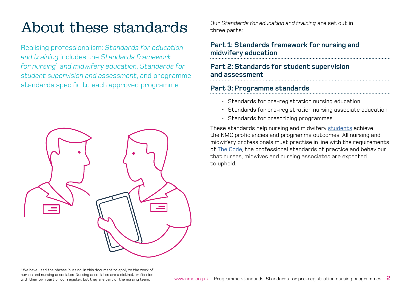# About these standards

Realising professionalism: *Standards for education and training* includes the *Standards framework for nursing*<sup>1</sup>  *and midwifery education*, *Standards for student supervision and assessment*, and programme standards specific to each approved programme.



Our *Standards for education and training* are set out in three parts:

## **[Part 1: Standards framework for nursing and](http://www.nmc.org.uk/Education-framework)  [midwifery education](http://www.nmc.org.uk/Education-framework)**

## **[Part 2: Standards for student supervision](http://www.nmc.org.uk/Student-supervision-assessment)  [and assessment](http://www.nmc.org.uk/Student-supervision-assessment)**

## **Part 3: Programme standards**

- [Standards for pre-registration nursing education](http://www.nmc.org.uk/Programme-standards-nursing)
- Standards for pre-registration nursing associate education
- [Standards for prescribing programmes](http://www.nmc.org.uk/Programme-standards-prescribing)

These standards help nursing and midwifery [students](#page-17-0) achieve the NMC proficiencies and programme outcomes. All nursing and midwifery professionals must practise in line with the requirements of T[he Code,](https://www.nmc.org.uk/standards/code/) the professional standards of practice and behaviour that nurses, midwives and nursing associates are expected to uphold.

 $<sup>1</sup>$  We have used the phrase 'nursing' in this document to apply to the work of</sup> nurses and nursing associates. Nursing associates are a distinct profession with their own part of our register, but they are part of the nursing team.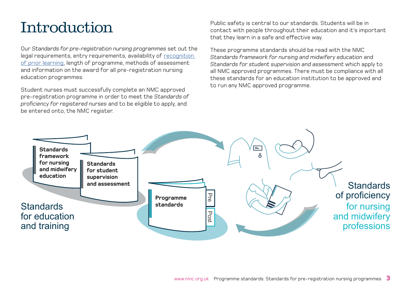# Introduction

Our *Standards for pre-registration nursing programmes* set out the legal requirements, entry requirements, availability of [recognition](#page-17-0)  [of prior learning](#page-17-0), length of programme, methods of assessment and information on the award for all pre-registration nursing education programmes.

Student nurses must successfully complete an NMC approved pre-registration programme in order to meet the *Standards of proficiency for registered nurses* and to be eligible to apply, and be entered onto, the NMC register.

Public safety is central to our standards. Students will be in contact with people throughout their education and it's important that they learn in a safe and effective way.

These programme standards should be read with the NMC *Standards framework for nursing and midwifery education* and *Standards for student supervision and assessment* which apply to all NMC approved programmes. There must be compliance with all these standards for an education institution to be approved and to run any NMC approved programme.

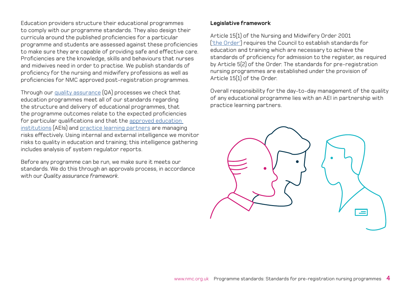Education providers structure their educational programmes to comply with our programme standards. They also design their curricula around the published proficiencies for a particular programme and students are assessed against these proficiencies to make sure they are capable of providing safe and effective care. Proficiencies are the knowledge, skills and behaviours that nurses and midwives need in order to practise. We publish standards of proficiency for the nursing and midwifery professions as well as proficiencies for NMC approved post-registration programmes.

Through our [quality assurance](#page-17-0) (QA) processes we check that education programmes meet all of our standards regarding the structure and delivery of educational programmes, that the programme outcomes relate to the expected proficiencies for particular qualifications and that the [approved education](#page-16-0)  [institutions](#page-16-0) (AEIs) and [practice learning partners](#page-16-0) are managing risks effectively. Using internal and external intelligence we monitor risks to quality in education and training; this intelligence gathering includes analysis of system regulator reports.

Before any programme can be run, we make sure it meets our standards. We do this through an approvals process, in accordance with our *Quality assurance framework*.

### **Legislative framework**

Article 15(1) of the Nursing and Midwifery Order 2001 [\('the Order'](https://www.nmc.org.uk/globalassets/sitedocuments/legislation/the-nursing-and-midwifery-order-2001-consolidated-text.pdf)) requires the Council to establish standards for education and training which are necessary to achieve the standards of proficiency for admission to the register, as required by Article 5(2) of the Order. The standards for pre-registration nursing programmes are established under the provision of Article 15(1) of the Order.

Overall responsibility for the day-to-day management of the quality of any educational programme lies with an AEI in partnership with practice learning partners.

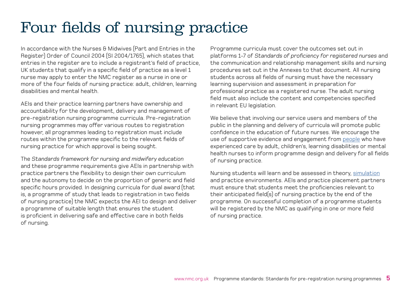# Four fields of nursing practice

In accordance with the Nurses & Midwives (Part and Entries in the Register) Order of Council 2004 (SI 2004/1765), which states that entries in the register are to include a registrant's field of practice, UK students that qualify in a specific field of practice as a level 1 nurse may apply to enter the NMC register as a nurse in one or more of the four fields of nursing practice: adult, children, learning disabilities and mental health.

AEIs and their practice learning partners have ownership and accountability for the development, delivery and management of pre-registration nursing programme curricula. Pre-registration nursing programmes may offer various routes to registration however, all programmes leading to registration must include routes within the programme specific to the relevant fields of nursing practice for which approval is being sought.

The *Standards framework for nursing and midwifery education* and these programme requirements give AEIs in partnership with practice partners the flexibility to design their own curriculum and the autonomy to decide on the proportion of generic and field specific hours provided. In designing curricula for dual award (that is, a programme of study that leads to registration in two fields of nursing practice) the NMC expects the AEI to design and deliver a programme of suitable length that ensures the student is proficient in delivering safe and effective care in both fields of nursing.

Programme curricula must cover the outcomes set out in platforms 1-7 of *Standards of proficiency for registered nurses* and the communication and relationship management skills and nursing procedures set out in the Annexes to that document. All nursing students across all fields of nursing must have the necessary learning supervision and assessment in preparation for professional practice as a registered nurse. The adult nursing field must also include the content and competencies specified in relevant EU legislation.

We believe that involving our service users and members of the public in the planning and delivery of curricula will promote public confidence in the education of future nurses. We encourage the use of supportive evidence and engagement from [people](#page-16-0) who have experienced care by adult, children's, learning disabilities or mental health nurses to inform programme design and delivery for all fields of nursing practice.

Nursing students will learn and be assessed in theory, [simulation](#page-17-0) and practice environments. AEIs and practice placement partners must ensure that students meet the proficiencies relevant to their anticipated field(s) of nursing practice by the end of the programme. On successful completion of a programme students will be registered by the NMC as qualifying in one or more field of nursing practice.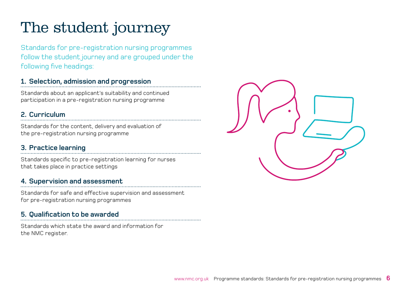# The student journey

Standards for pre-registration nursing programmes follow the student journey and are grouped under the following five headings:

### **1. [Selection, admission and progression](#page-6-0)**

Standards about an applicant's suitability and continued participation in a pre-registration nursing programme

## **2. [Curriculum](#page-8-0)**

Standards for the content, delivery and evaluation of the pre-registration nursing programme

### **3. [Practice learning](#page-9-0)**

Standards specific to pre-registration learning for nurses that takes place in practice settings

## **4. [Supervision and assessment](#page-10-0)**

Standards for safe and effective supervision and assessment for pre-registration nursing programmes

## **5. [Qualification to be awarded](#page-11-0)**

Standards which state the award and information for the NMC register.

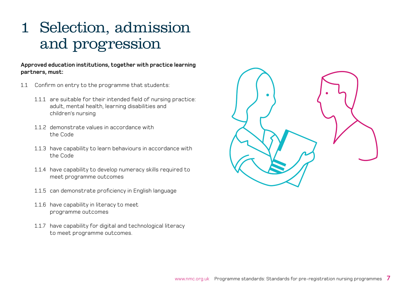# <span id="page-6-0"></span>1 Selection, admission and progression

- 1.1 Confirm on entry to the programme that students:
	- 1.1.1 are suitable for their intended field of nursing practice: adult, mental health, learning disabilities and children's nursing
	- 1.1.2 demonstrate values in accordance with the Code
	- 1.1.3 have capability to learn behaviours in accordance with the Code
	- 1.1.4 have capability to develop numeracy skills required to meet programme outcomes
	- 1.1.5 can demonstrate proficiency in English language
	- 1.1.6 have capability in literacy to meet programme outcomes
	- 1.1.7 have capability for digital and technological literacy to meet programme outcomes.

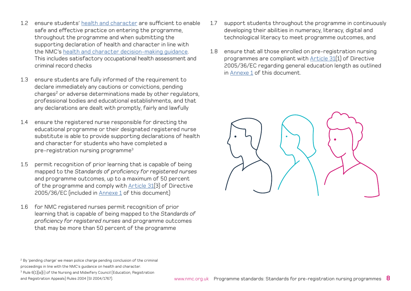- 1.2 ensure students' [health and character](#page-16-0) are sufficient to enable safe and effective practice on entering the programme, throughout the programme and when submitting the supporting declaration of health and character in line with the NMC's [health and character decision-making guidance](https://www.nmc.org.uk/globalassets/sitedocuments/registration/character-and-health-decision-making-guidance.pdf). This includes satisfactory occupational health assessment and criminal record checks
- 1.3 ensure students are fully informed of the requirement to declare immediately any cautions or convictions, pending charges<sup>2</sup> or adverse determinations made by other regulators, professional bodies and educational establishments, and that any declarations are dealt with promptly, fairly and lawfully
- 1.4 ensure the registered nurse responsible for directing the educational programme or their designated registered nurse substitute is able to provide supporting declarations of health and character for students who have completed a pre-registration nursing programme<sup>3</sup>
- 1.5 permit recognition of prior learning that is capable of being mapped to the *Standards of proficiency for registered nurses* and programme outcomes, up to a maximum of 50 percent of the programme and comply with [Article 31](#page-12-0)(3) of Directive 2005/36/EC (included in [Annexe 1](#page-12-0) of this document)
- 1.6 for NMC registered nurses permit recognition of prior learning that is capable of being mapped to the *Standards of proficiency for registered nurses* and programme outcomes that may be more than 50 percent of the programme
- 1.7 support students throughout the programme in continuously developing their abilities in numeracy, literacy, digital and technological literacy to meet programme outcomes, and
- 1.8 ensure that all those enrolled on pre-registration nursing programmes are compliant with [Article 31\(](#page-12-0)1) of Directive 2005/36/EC regarding general education length as outlined in [Annexe 1](#page-12-0) of this document.



and Registration Appeals) Rules 2004 (SI 2004/1767).

<sup>&</sup>lt;sup>2</sup> By 'pending charge' we mean police charge pending conclusion of the criminal

proceedings in line with the NMC's guidance on health and character.

 $3$  Rule 6 $[1]$ (a) $[i]$  of the Nursing and Midwifery Council (Education, Registration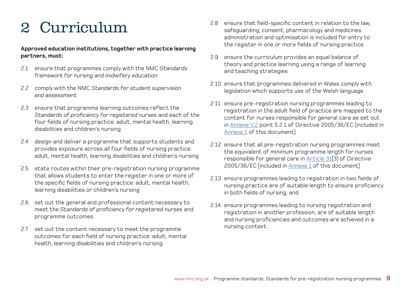## <span id="page-8-0"></span>2 Curriculum

- 2.1 ensure that programmes comply with the NMC *Standards framework for nursing and midwifery education*
- 2.2 comply with the NMC *Standards for student supervision and assessment*
- 2.3 ensure that programme learning outcomes reflect the *Standards of proficiency for registered nurses* and each of the four fields of nursing practice: adult, mental health, learning disabilities and children's nursing
- 2.4 design and deliver a programme that supports students and provides exposure across all four fields of nursing practice: adult, mental health, learning disabilities and children's nursing
- 2.5 state routes within their pre-registration nursing programme that allows students to enter the register in one or more of the specific fields of nursing practice: adult, mental health, learning disabilities or children's nursing
- 2.6 set out the general and professional content necessary to meet the *Standards of proficiency for registered nurses* and programme outcomes
- 2.7 set out the content necessary to meet the programme outcomes for each field of nursing practice: adult, mental health, learning disabilities and children's nursing
- 2.8 ensure that field-specific content in relation to the law, safeguarding, consent, pharmacology and medicines administration and optimisation is included for entry to the register in one or more fields of nursing practice
- 2.9 ensure the curriculum provides an equal balance of theory and practice learning using a range of learning and teaching strategies
- 2.10 ensure that programmes delivered in Wales comply with legislation which supports use of the Welsh language
- 2.11 ensure pre-registration nursing programmes leading to registration in the adult field of practice are mapped to the content for nurses responsible for general care as set out in [Annexe V.2](#page-15-0) point 5.2.1 of Directive 2005/36/EC (included in [Annexe 1](#page-12-0) of this document)
- 2.12 ensure that all pre-registration nursing programmes meet the equivalent of minimum programme length for nurses responsible for general care in [Article 31](#page-12-0)(3) of Directive 2005/36/EC (included in [Annexe 1](#page-12-0) of this document)
- 2.13 ensure programmes leading to registration in two fields of nursing practice are of suitable length to ensure proficiency in both fields of nursing, and
- 2.14 ensure programmes leading to nursing registration and registration in another profession, are of suitable length and nursing proficiencies and outcomes are achieved in a nursing context.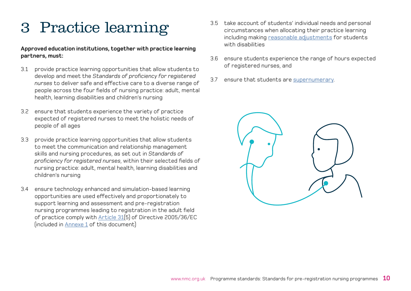# <span id="page-9-0"></span>3 Practice learning

- 3.1 provide practice learning opportunities that allow students to develop and meet the *Standards of proficiency for registered nurses* to deliver safe and effective care to a diverse range of people across the four fields of nursing practice: adult, mental health, learning disabilities and children's nursing
- 3.2 ensure that students experience the variety of practice expected of registered nurses to meet the holistic needs of people of all ages
- 3.3 provide practice learning opportunities that allow students to meet the communication and relationship management skills and nursing procedures, as set out in *Standards of proficiency for registered nurses*, within their selected fields of nursing practice: adult, mental health, learning disabilities and children's nursing
- 3.4 ensure technology enhanced and simulation-based learning opportunities are used effectively and proportionately to support learning and assessment and pre-registration nursing programmes leading to registration in the adult field of practice comply with [Article 31](#page-12-0)(5) of Directive 2005/36/EC (included in [Annexe 1](#page-12-0) of this document)
- 3.5 take account of students' individual needs and personal circumstances when allocating their practice learning including making [reasonable adjustments](#page-16-0) for students with disabilities
- 3.6 ensure students experience the range of hours expected of registered nurses, and
- 3.7 ensure that students are [supernumerary](#page-17-0).

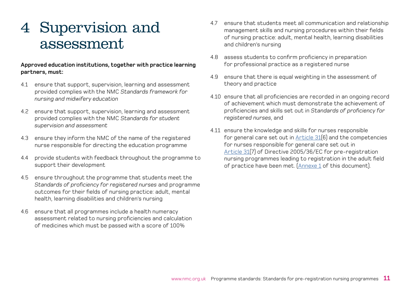## <span id="page-10-0"></span>4 Supervision and assessment

- 4.1 ensure that support, supervision, learning and assessment provided complies with the NMC *Standards framework for nursing and midwifery education*
- 4.2 ensure that support, supervision, learning and assessment provided complies with the NMC *Standards for student supervision and assessment*
- 4.3 ensure they inform the NMC of the name of the registered nurse responsible for directing the education programme
- 4.4 provide students with feedback throughout the programme to support their development
- 4.5 ensure throughout the programme that students meet the *Standards of proficiency for registered nurses* and programme outcomes for their fields of nursing practice: adult, mental health, learning disabilities and children's nursing
- 4.6 ensure that all programmes include a health numeracy assessment related to nursing proficiencies and calculation of medicines which must be passed with a score of 100%
- 4.7 ensure that students meet all communication and relationship management skills and nursing procedures within their fields of nursing practice: adult, mental health, learning disabilities and children's nursing
- 4.8 assess students to confirm proficiency in preparation for professional practice as a registered nurse
- 4.9 ensure that there is equal weighting in the assessment of theory and practice
- 4.10 ensure that all proficiencies are recorded in an ongoing record of achievement which must demonstrate the achievement of proficiencies and skills set out in *Standards of proficiency for registered nurses*, and
- 4.11 ensure the knowledge and skills for nurses responsible for general care set out in [Article 31\(](#page-12-0)6) and the competencies for nurses responsible for general care set out in [Article 31\(](#page-12-0)7) of Directive 2005/36/EC for pre-registration nursing programmes leading to registration in the adult field of practice have been met. [\(Annexe 1](#page-12-0) of this document).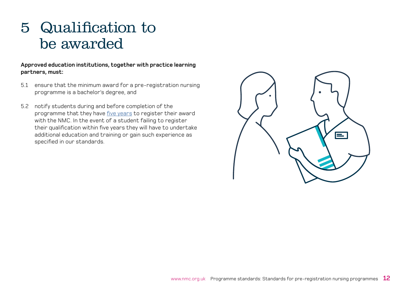## <span id="page-11-0"></span>5 Qualification to be awarded

- 5.1 ensure that the minimum award for a pre-registration nursing programme is a bachelor's degree, and
- 5.2 notify students during and before completion of the programme that they have [five years](https://www.nmc.org.uk/globalassets/sitedocuments/registration/registering-more-than-five-years-after-qualifying.pdf) to register their award with the NMC. In the event of a student failing to register their qualification within five years they will have to undertake additional education and training or gain such experience as specified in [our standards.](http://www.nmc.org.uk/globalassets/sitedocuments/registration/registering-more-than-five-years-after-qualifying.pdf  )

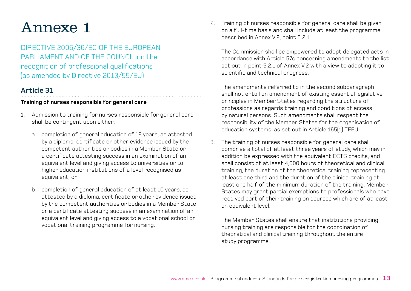## <span id="page-12-0"></span>Annexe 1

DIRECTIVE 2005/36/EC OF THE EUROPEAN PARLIAMENT AND OF THE COUNCIL on the recognition of professional qualifications (as amended by Directive 2013/55/EU)

## **Article 31**

### **Training of nurses responsible for general care**

- 1. Admission to training for nurses responsible for general care shall be contingent upon either:
	- a completion of general education of 12 years, as attested by a diploma, certificate or other evidence issued by the competent authorities or bodies in a Member State or a certificate attesting success in an examination of an equivalent level and giving access to universities or to higher education institutions of a level recognised as equivalent; or
	- b completion of general education of at least 10 years, as attested by a diploma, certificate or other evidence issued by the competent authorities or bodies in a Member State or a certificate attesting success in an examination of an equivalent level and giving access to a vocational school or vocational training programme for nursing.

2. Training of nurses responsible for general care shall be given on a full-time basis and shall include at least the programme described in Annex V.2, point 5.2.1.

The Commission shall be empowered to adopt delegated acts in accordance with Article 57c concerning amendments to the list set out in point 5.2.1 of Annex V.2 with a view to adapting it to scientific and technical progress.

The amendments referred to in the second subparagraph shall not entail an amendment of existing essential legislative principles in Member States regarding the structure of professions as regards training and conditions of access by natural persons. Such amendments shall respect the responsibility of the Member States for the organisation of education systems, as set out in Article 165(1) TFEU.

3. The training of nurses responsible for general care shall comprise a total of at least three years of study, which may in addition be expressed with the equivalent ECTS credits, and shall consist of at least 4,600 hours of theoretical and clinical training, the duration of the theoretical training representing at least one third and the duration of the clinical training at least one half of the minimum duration of the training. Member States may grant partial exemptions to professionals who have received part of their training on courses which are of at least an equivalent level.

The Member States shall ensure that institutions providing nursing training are responsible for the coordination of theoretical and clinical training throughout the entire study programme.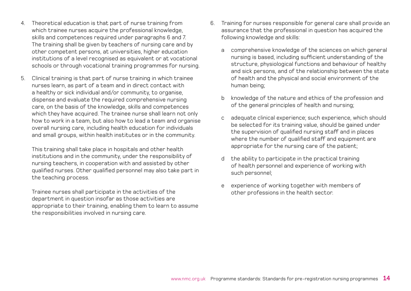- 4. Theoretical education is that part of nurse training from which trainee nurses acquire the professional knowledge, skills and competences required under paragraphs 6 and 7. The training shall be given by teachers of nursing care and by other competent persons, at universities, higher education institutions of a level recognised as equivalent or at vocational schools or through vocational training programmes for nursing.
- 5. Clinical training is that part of nurse training in which trainee nurses learn, as part of a team and in direct contact with a healthy or sick individual and/or community, to organise, dispense and evaluate the required comprehensive nursing care, on the basis of the knowledge, skills and competences which they have acquired. The trainee nurse shall learn not only how to work in a team, but also how to lead a team and organise overall nursing care, including health education for individuals and small groups, within health institutes or in the community.

This training shall take place in hospitals and other health institutions and in the community, under the responsibility of nursing teachers, in cooperation with and assisted by other qualified nurses. Other qualified personnel may also take part in the teaching process.

Trainee nurses shall participate in the activities of the department in question insofar as those activities are appropriate to their training, enabling them to learn to assume the responsibilities involved in nursing care.

- 6. Training for nurses responsible for general care shall provide an assurance that the professional in question has acquired the following knowledge and skills:
	- a comprehensive knowledge of the sciences on which general nursing is based, including sufficient understanding of the structure, physiological functions and behaviour of healthy and sick persons, and of the relationship between the state of health and the physical and social environment of the human being;
	- b knowledge of the nature and ethics of the profession and of the general principles of health and nursing;
	- c adequate clinical experience; such experience, which should be selected for its training value, should be gained under the supervision of qualified nursing staff and in places where the number of qualified staff and equipment are appropriate for the nursing care of the patient;
	- d the ability to participate in the practical training of health personnel and experience of working with such personnel;
	- e experience of working together with members of other professions in the health sector.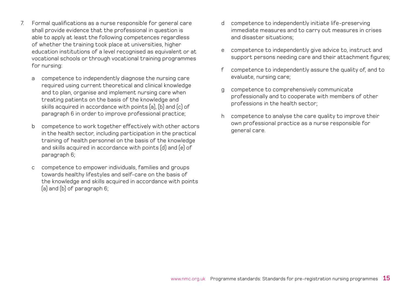- 7. Formal qualifications as a nurse responsible for general care shall provide evidence that the professional in question is able to apply at least the following competences regardless of whether the training took place at universities, higher education institutions of a level recognised as equivalent or at vocational schools or through vocational training programmes for nursing:
	- a competence to independently diagnose the nursing care required using current theoretical and clinical knowledge and to plan, organise and implement nursing care when treating patients on the basis of the knowledge and skills acquired in accordance with points (a), (b) and (c) of paragraph 6 in order to improve professional practice;
	- b competence to work together effectively with other actors in the health sector, including participation in the practical training of health personnel on the basis of the knowledge and skills acquired in accordance with points (d) and (e) of paragraph 6;
	- c competence to empower individuals, families and groups towards healthy lifestyles and self-care on the basis of the knowledge and skills acquired in accordance with points (a) and (b) of paragraph 6;
- d competence to independently initiate life-preserving immediate measures and to carry out measures in crises and disaster situations;
- e competence to independently give advice to, instruct and support persons needing care and their attachment figures;
- f competence to independently assure the quality of, and to evaluate, nursing care;
- g competence to comprehensively communicate professionally and to cooperate with members of other professions in the health sector;
- h competence to analyse the care quality to improve their own professional practice as a nurse responsible for general care.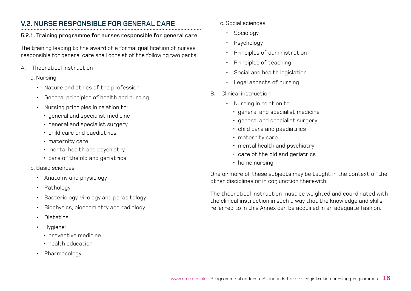## <span id="page-15-0"></span>**V.2. NURSE RESPONSIBLE FOR GENERAL CARE**

### **5.2.1. Training programme for nurses responsible for general care**

The training leading to the award of a formal qualification of nurses responsible for general care shall consist of the following two parts.

A. Theoretical instruction

#### a. Nursing:

- Nature and ethics of the profession
- General principles of health and nursing
- Nursing principles in relation to:
	- general and specialist medicine
	- general and specialist surgery
	- child care and paediatrics
	- maternity care
	- mental health and psychiatry
	- care of the old and geriatrics

#### b. Basic sciences:

- Anatomy and physiology
- Pathology
- Bacteriology, virology and parasitology
- Biophysics, biochemistry and radiology
- Dietetics
- Hygiene:
	- preventive medicine
	- health education
- Pharmacology
- c. Social sciences:
	- Sociology
	- Psychology
	- Principles of administration
	- Principles of teaching
	- Social and health legislation
	- Legal aspects of nursing
- B. Clinical instruction
	- Nursing in relation to:
		- general and specialist medicine
		- general and specialist surgery
		- child care and paediatrics
		- maternity care
		- mental health and psychiatry
		- care of the old and geriatrics
		- home nursing

One or more of these subjects may be taught in the context of the other disciplines or in conjunction therewith.

The theoretical instruction must be weighted and coordinated with the clinical instruction in such a way that the knowledge and skills referred to in this Annex can be acquired in an adequate fashion.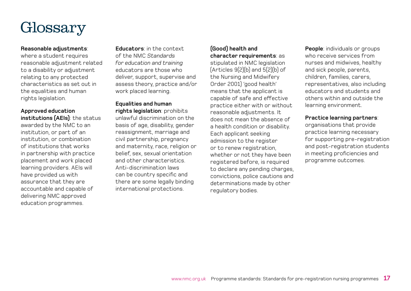<span id="page-16-0"></span>

#### **Reasonable adjustments**:

where a student requires reasonable adjustment related to a disability or adjustment relating to any protected characteristics as set out in the equalities and human rights legislation.

### **Approved education institutions (AEIs)**: the status awarded by the NMC to an institution, or part of an institution, or combination of institutions that works in partnership with practice placement and work placed learning providers. AEIs will have provided us with assurance that they are accountable and capable of delivering NMC approved education programmes.

**Educators**: in the context of the NMC *Standards for education and training* educators are those who deliver, support, supervise and assess theory, practice and/or work placed learning.

**Equalities and human rights legislation**: prohibits unlawful discrimination on the basis of age, disability, gender reassignment, marriage and civil partnership, pregnancy and maternity, race, religion or belief, sex, sexual orientation and other characteristics. Anti-discrimination laws can be country specific and there are some legally binding international protections.

### **(Good) health and character requirements**: as stipulated in NMC legislation  $[Articles 9(2)[b] and 5(2)[b] of$ the Nursing and Midwifery Order 2001) 'good health' means that the applicant is capable of safe and effective practice either with or without reasonable adjustments. It does not mean the absence of a health condition or disability. Each applicant seeking admission to the register or to renew registration, whether or not they have been registered before, is required to declare any pending charges, convictions, police cautions and determinations made by other regulatory bodies.

**People**: individuals or groups who receive services from nurses and midwives, healthy and sick people, parents, children, families, carers, representatives, also including educators and students and others within and outside the learning environment.

#### **Practice learning partners**:

organisations that provide practice learning necessary for supporting pre-registration and post-registration students in meeting proficiencies and programme outcomes.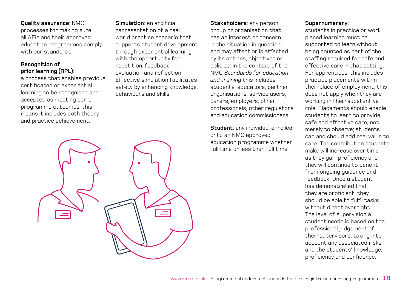#### <span id="page-17-0"></span>**Quality assurance**: NMC

processes for making sure all AEIs and their approved education programmes comply with our standards.

#### **Recognition of prior learning (RPL)**:

a process that enables previous certificated or experiential learning to be recognised and accepted as meeting some programme outcomes, this means it includes both theory and practice achievement.

**Simulation**: an artificial representation of a real world practice scenario that supports student development through experiential learning with the opportunity for repetition, feedback, evaluation and reflection. Effective simulation facilitates safety by enhancing knowledge, behaviours and skills.

**Stakeholders**: any person, group or organisation that has an interest or concern in the situation in question, and may affect or is affected by its actions, objectives or policies. In the context of the NMC *Standards for education and training* this includes students, educators, partner organisations, service users, carers, employers, other professionals, other regulators and education commissioners.

**Student**: any individual enrolled onto an NMC approved education programme whether full time or less than full time.

#### **Supernumerary**:

students in practice or work placed learning must be supported to learn without being counted as part of the staffing required for safe and effective care in that setting. For apprentices, this includes practice placements within their place of employment; this does not apply when they are working in their substantive role. Placements should enable students to learn to provide safe and effective care, not merely to observe; students can and should add real value to care. The contribution students make will increase over time as they gain proficiency and they will continue to benefit from ongoing guidance and feedback. Once a student has demonstrated that they are proficient, they should be able to fulfil tasks without direct oversight. The level of supervision a student needs is based on the professional judgement of their supervisors, taking into account any associated risks and the students' knowledge, proficiency and confidence.